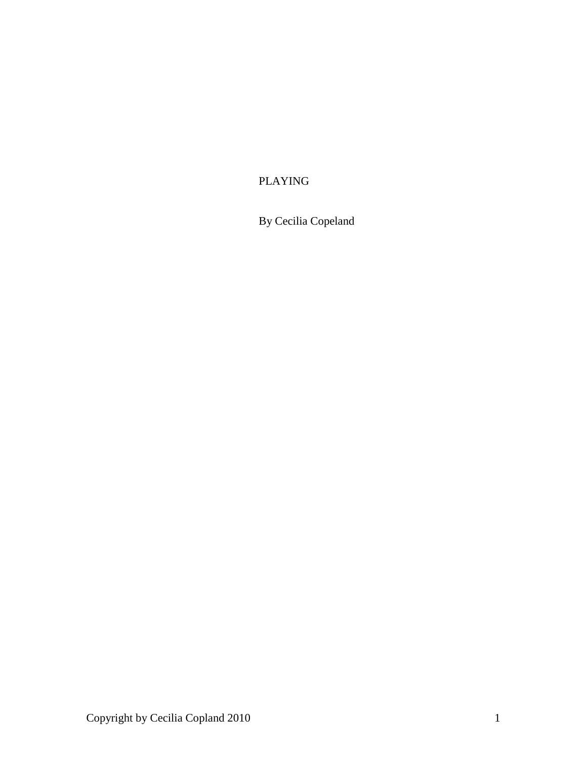# PLAYING

By Cecilia Copeland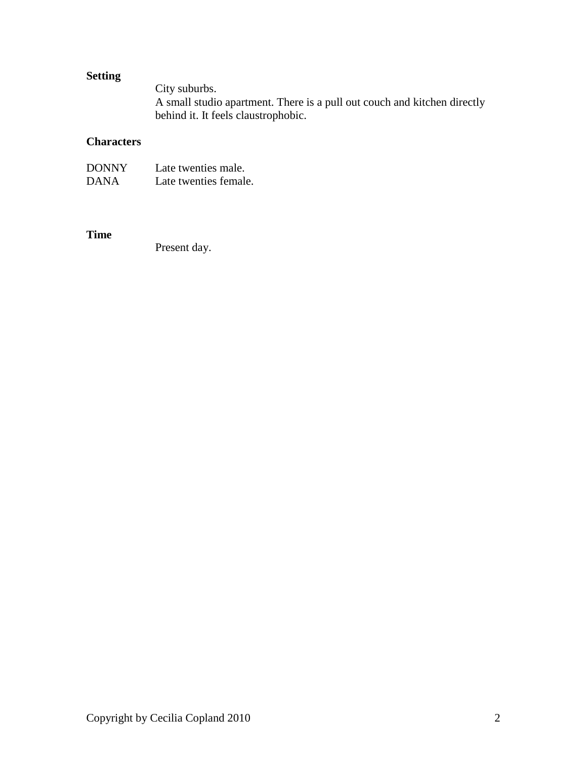# **Setting**

City suburbs. A small studio apartment. There is a pull out couch and kitchen directly behind it. It feels claustrophobic.

# **Characters**

| <b>DONNY</b> | Late twenties male.   |
|--------------|-----------------------|
| <b>DANA</b>  | Late twenties female. |

# **Time**

Present day.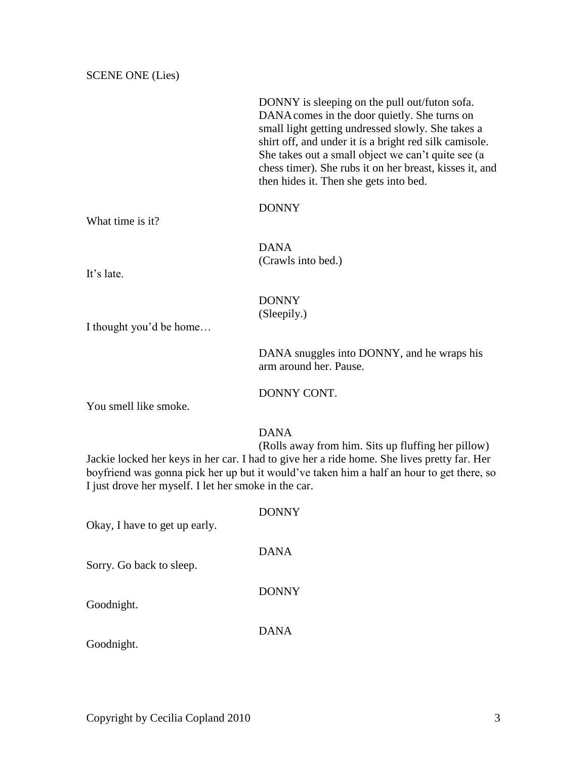SCENE ONE (Lies)

DONNY is sleeping on the pull out/futon sofa. DANAcomes in the door quietly. She turns on small light getting undressed slowly. She takes a shirt off, and under it is a bright red silk camisole. She takes out a small object we can't quite see (a chess timer). She rubs it on her breast, kisses it, and then hides it. Then she gets into bed. DONNY What time is it? DANA (Crawls into bed.) It's late. DONNY (Sleepily.) I thought you'd be home… DANA snuggles into DONNY, and he wraps his arm around her. Pause. DONNY CONT. You smell like smoke. DANA (Rolls away from him. Sits up fluffing her pillow) Jackie locked her keys in her car. I had to give her a ride home. She lives pretty far. Her boyfriend was gonna pick her up but it would've taken him a half an hour to get there, so I just drove her myself. I let her smoke in the car. DONNY Okay, I have to get up early. DANA Sorry. Go back to sleep. DONNY Goodnight. DANA Goodnight.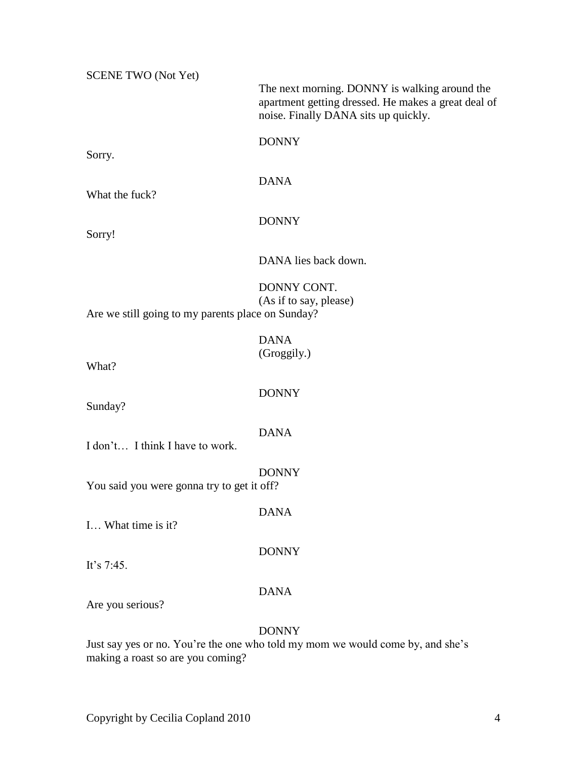| <b>SCENE TWO (Not Yet)</b>                        |                                                                                                                                              |
|---------------------------------------------------|----------------------------------------------------------------------------------------------------------------------------------------------|
|                                                   | The next morning. DONNY is walking around the<br>apartment getting dressed. He makes a great deal of<br>noise. Finally DANA sits up quickly. |
|                                                   | <b>DONNY</b>                                                                                                                                 |
| Sorry.                                            |                                                                                                                                              |
| What the fuck?                                    | <b>DANA</b>                                                                                                                                  |
| Sorry!                                            | <b>DONNY</b>                                                                                                                                 |
|                                                   | DANA lies back down.                                                                                                                         |
| Are we still going to my parents place on Sunday? | DONNY CONT.<br>(As if to say, please)                                                                                                        |
|                                                   | <b>DANA</b>                                                                                                                                  |
| What?                                             | (Groggily.)                                                                                                                                  |
| Sunday?                                           | <b>DONNY</b>                                                                                                                                 |
| I don't I think I have to work.                   | <b>DANA</b>                                                                                                                                  |
| You said you were gonna try to get it off?        | <b>DONNY</b>                                                                                                                                 |
| I What time is it?                                | <b>DANA</b>                                                                                                                                  |
| It's $7:45$ .                                     | <b>DONNY</b>                                                                                                                                 |
| Are you serious?                                  | <b>DANA</b>                                                                                                                                  |
|                                                   | <b>DONNY</b><br>Lust say ves or no You're the one who told my mom we would come by and she's                                                 |

Just say yes or no. You're the one who told my mom we would come by, and she's making a roast so are you coming?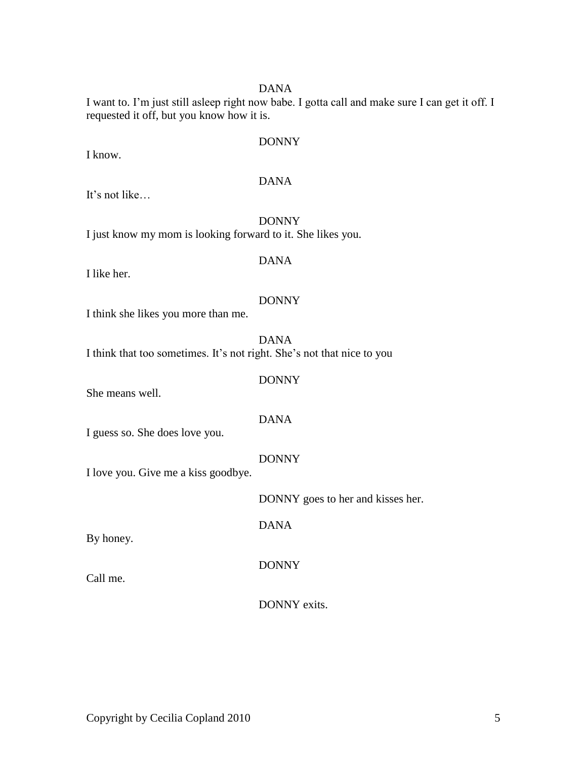I want to. I'm just still asleep right now babe. I gotta call and make sure I can get it off. I requested it off, but you know how it is.

### DONNY

I know.

### DANA

It's not like…

DONNY I just know my mom is looking forward to it. She likes you.

I like her.

# DANA

### DONNY

I think she likes you more than me.

DANA

I think that too sometimes. It's not right. She's not that nice to you

### DONNY

She means well.

### DANA

I guess so. She does love you.

### DONNY

I love you. Give me a kiss goodbye.

DONNY goes to her and kisses her.

DANA

By honey.

Call me.

DONNY

DONNY exits.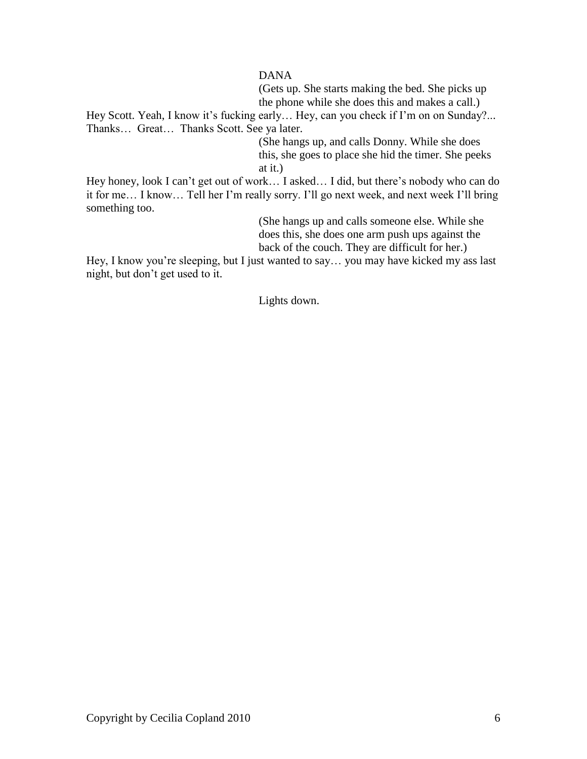(Gets up. She starts making the bed. She picks up the phone while she does this and makes a call.)

Hey Scott. Yeah, I know it's fucking early… Hey, can you check if I'm on on Sunday?... Thanks… Great… Thanks Scott. See ya later.

> (She hangs up, and calls Donny. While she does this, she goes to place she hid the timer. She peeks at it.)

Hey honey, look I can't get out of work… I asked… I did, but there's nobody who can do it for me… I know… Tell her I'm really sorry. I'll go next week, and next week I'll bring something too.

> (She hangs up and calls someone else. While she does this, she does one arm push ups against the back of the couch. They are difficult for her.)

Hey, I know you're sleeping, but I just wanted to say… you may have kicked my ass last night, but don't get used to it.

Lights down.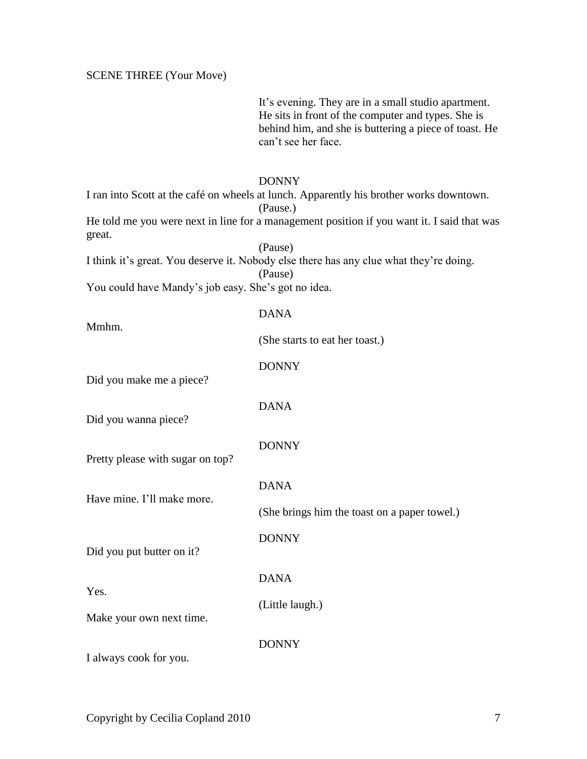It's evening. They are in a small studio apartment. He sits in front of the computer and types. She is behind him, and she is buttering a piece of toast. He can't see her face.

### DONNY

I ran into Scott at the café on wheels at lunch. Apparently his brother works downtown. (Pause.) He told me you were next in line for a management position if you want it. I said that was great.

(Pause) I think it's great. You deserve it. Nobody else there has any clue what they're doing. (Pause)

You could have Mandy's job easy. She's got no idea.

| Mmhm.                            | <b>DANA</b>                                  |
|----------------------------------|----------------------------------------------|
|                                  | (She starts to eat her toast.)               |
| Did you make me a piece?         | <b>DONNY</b>                                 |
| Did you wanna piece?             | <b>DANA</b>                                  |
| Pretty please with sugar on top? | <b>DONNY</b>                                 |
|                                  | <b>DANA</b>                                  |
| Have mine. I'll make more.       | (She brings him the toast on a paper towel.) |
| Did you put butter on it?        | <b>DONNY</b>                                 |
|                                  | <b>DANA</b>                                  |
| Yes.<br>Make your own next time. | (Little laugh.)                              |
| I always cook for you.           | <b>DONNY</b>                                 |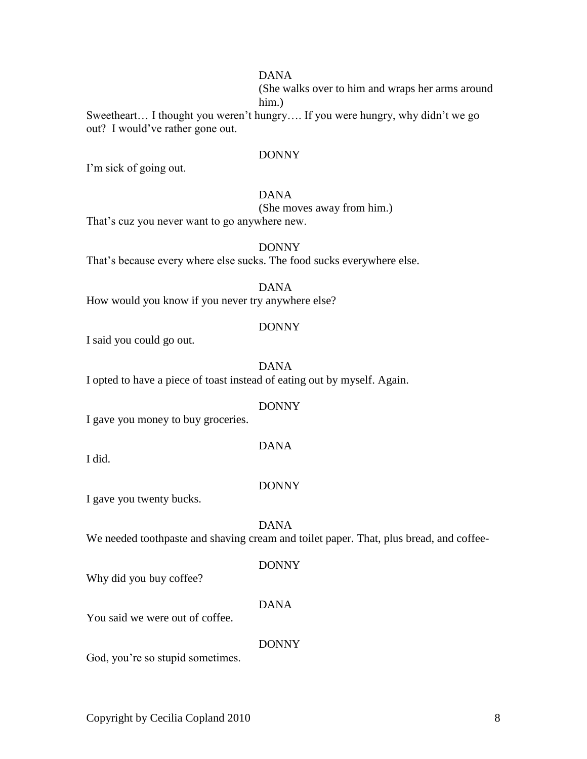(She walks over to him and wraps her arms around him.)

Sweetheart… I thought you weren't hungry…. If you were hungry, why didn't we go out? I would've rather gone out.

### DONNY

I'm sick of going out.

### DANA

(She moves away from him.)

That's cuz you never want to go anywhere new.

DONNY That's because every where else sucks. The food sucks everywhere else.

DANA How would you know if you never try anywhere else?

### DONNY

I said you could go out.

### DANA

I opted to have a piece of toast instead of eating out by myself. Again.

### DONNY

I gave you money to buy groceries.

### DANA

I did.

### DONNY

I gave you twenty bucks.

### DANA

We needed toothpaste and shaving cream and toilet paper. That, plus bread, and coffee-

### DONNY

Why did you buy coffee?

### DANA

You said we were out of coffee.

### DONNY

God, you're so stupid sometimes.

Copyright by Cecilia Copland 2010 8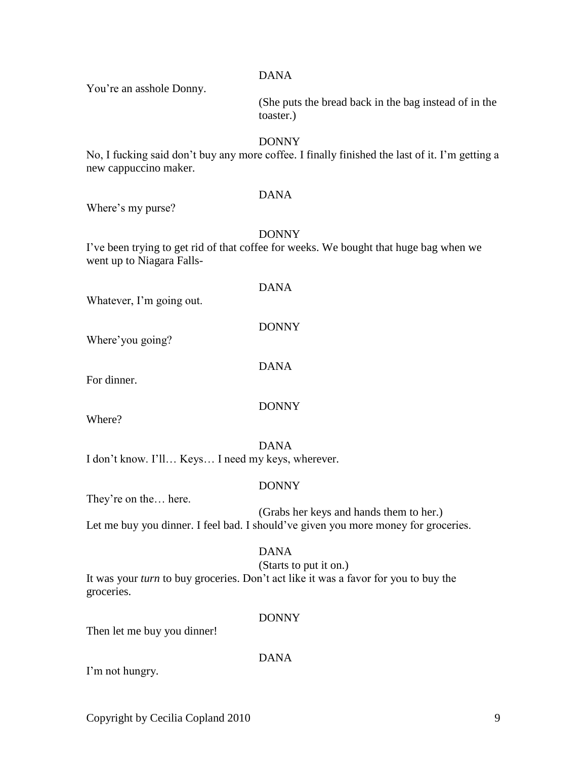You're an asshole Donny.

(She puts the bread back in the bag instead of in the toaster.)

### DONNY

No, I fucking said don't buy any more coffee. I finally finished the last of it. I'm getting a new cappuccino maker.

### DANA

Where's my purse?

DONNY

I've been trying to get rid of that coffee for weeks. We bought that huge bag when we went up to Niagara Falls-

|                                                   | <b>DANA</b>                                                                        |
|---------------------------------------------------|------------------------------------------------------------------------------------|
| Whatever, I'm going out.                          |                                                                                    |
|                                                   | <b>DONNY</b>                                                                       |
| Where'you going?                                  |                                                                                    |
|                                                   | <b>DANA</b>                                                                        |
| For dinner.                                       |                                                                                    |
|                                                   |                                                                                    |
| Where?                                            | <b>DONNY</b>                                                                       |
|                                                   | <b>DANA</b>                                                                        |
| I don't know. I'll Keys I need my keys, wherever. |                                                                                    |
|                                                   | <b>DONNY</b>                                                                       |
| They're on the here.                              |                                                                                    |
|                                                   | (Grabs her keys and hands them to her.)                                            |
|                                                   | Let me buy you dinner. I feel bad. I should've given you more money for groceries. |
|                                                   | <b>DANA</b>                                                                        |

(Starts to put it on.)

It was your *turn* to buy groceries. Don't act like it was a favor for you to buy the groceries.

DONNY

Then let me buy you dinner!

DANA

I'm not hungry.

Copyright by Cecilia Copland 2010 9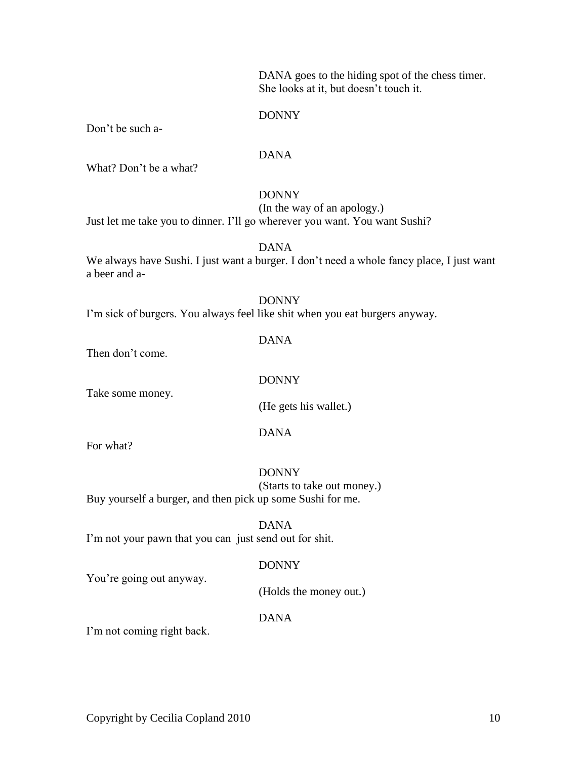DANA goes to the hiding spot of the chess timer. She looks at it, but doesn't touch it.

### DONNY

Don't be such a-

### DANA

What? Don't be a what?

### DONNY

(In the way of an apology.) Just let me take you to dinner. I'll go wherever you want. You want Sushi?

### DANA

We always have Sushi. I just want a burger. I don't need a whole fancy place, I just want a beer and a-

### DONNY

I'm sick of burgers. You always feel like shit when you eat burgers anyway.

### DANA

Then don't come.

### DONNY

Take some money.

(He gets his wallet.)

### DANA

For what?

DONNY (Starts to take out money.) Buy yourself a burger, and then pick up some Sushi for me.

### DANA

I'm not your pawn that you can just send out for shit.

### DONNY

You're going out anyway.

(Holds the money out.)

### DANA

I'm not coming right back.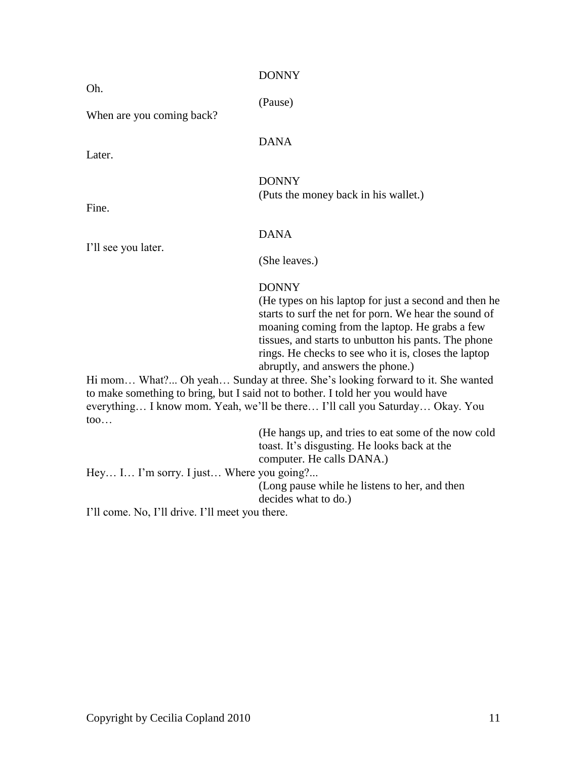| Oh.                                                                                                                                                                                                                                                             | <b>DONNY</b>                                                                                                                                                                                                                                                                                                                          |
|-----------------------------------------------------------------------------------------------------------------------------------------------------------------------------------------------------------------------------------------------------------------|---------------------------------------------------------------------------------------------------------------------------------------------------------------------------------------------------------------------------------------------------------------------------------------------------------------------------------------|
|                                                                                                                                                                                                                                                                 | (Pause)                                                                                                                                                                                                                                                                                                                               |
| When are you coming back?                                                                                                                                                                                                                                       |                                                                                                                                                                                                                                                                                                                                       |
| Later.                                                                                                                                                                                                                                                          | <b>DANA</b>                                                                                                                                                                                                                                                                                                                           |
| Fine.                                                                                                                                                                                                                                                           | <b>DONNY</b><br>(Puts the money back in his wallet.)                                                                                                                                                                                                                                                                                  |
|                                                                                                                                                                                                                                                                 | <b>DANA</b>                                                                                                                                                                                                                                                                                                                           |
| I'll see you later.                                                                                                                                                                                                                                             | (She leaves.)                                                                                                                                                                                                                                                                                                                         |
|                                                                                                                                                                                                                                                                 | <b>DONNY</b><br>(He types on his laptop for just a second and then he<br>starts to surf the net for porn. We hear the sound of<br>moaning coming from the laptop. He grabs a few<br>tissues, and starts to unbutton his pants. The phone<br>rings. He checks to see who it is, closes the laptop<br>abruptly, and answers the phone.) |
| Hi mom What? Oh yeah Sunday at three. She's looking forward to it. She wanted<br>to make something to bring, but I said not to bother. I told her you would have<br>everything I know mom. Yeah, we'll be there I'll call you Saturday Okay. You<br>$\text{to}$ |                                                                                                                                                                                                                                                                                                                                       |
|                                                                                                                                                                                                                                                                 | (He hangs up, and tries to eat some of the now cold<br>toast. It's disgusting. He looks back at the<br>computer. He calls DANA.)                                                                                                                                                                                                      |
| Hey I I'm sorry. I just Where you going?<br>$1211 - 222 = N_1 - 1211 - 1222 = 1211 - 2222 + 2222 = 4122$                                                                                                                                                        | (Long pause while he listens to her, and then<br>decides what to do.)                                                                                                                                                                                                                                                                 |

I'll come. No, I'll drive. I'll meet you there.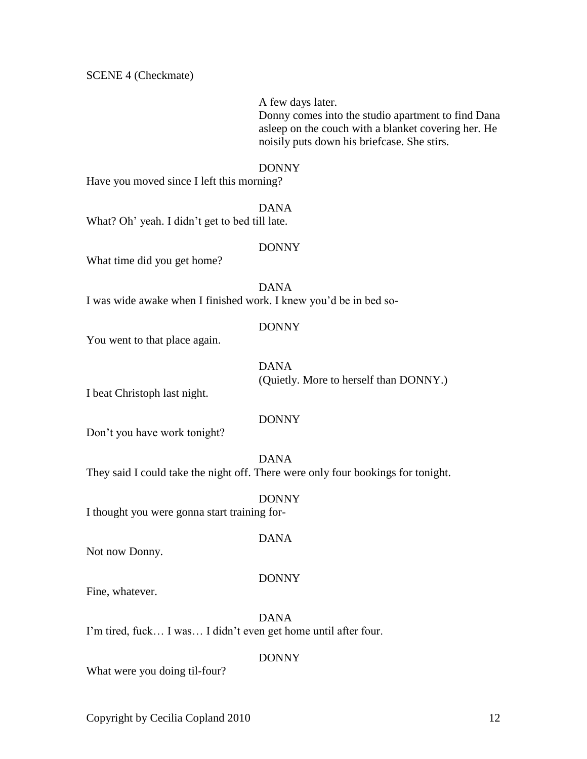SCENE 4 (Checkmate)

A few days later. Donny comes into the studio apartment to find Dana asleep on the couch with a blanket covering her. He noisily puts down his briefcase. She stirs.

#### DONNY

Have you moved since I left this morning?

DANA

What? Oh' yeah. I didn't get to bed till late.

### DONNY

What time did you get home?

DANA I was wide awake when I finished work. I knew you'd be in bed so-

### DONNY

You went to that place again.

DANA (Quietly. More to herself than DONNY.)

I beat Christoph last night.

### DONNY

DONNY

DANA

Don't you have work tonight?

DANA They said I could take the night off. There were only four bookings for tonight.

I thought you were gonna start training for-

Not now Donny.

### DONNY

Fine, whatever.

DANA I'm tired, fuck… I was… I didn't even get home until after four.

### DONNY

What were you doing til-four?

Copyright by Cecilia Copland 2010 12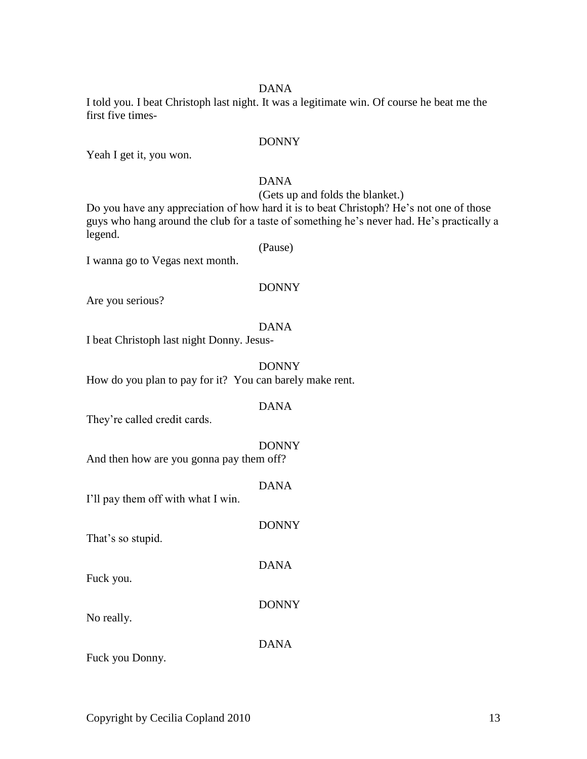I told you. I beat Christoph last night. It was a legitimate win. Of course he beat me the first five times-

### DONNY

Yeah I get it, you won.

### DANA

(Gets up and folds the blanket.)

Do you have any appreciation of how hard it is to beat Christoph? He's not one of those guys who hang around the club for a taste of something he's never had. He's practically a legend.

I wanna go to Vegas next month.

### DONNY

(Pause)

Are you serious?

DANA

I beat Christoph last night Donny. Jesus-

DONNY How do you plan to pay for it? You can barely make rent.

### DANA

They're called credit cards.

### DONNY

DONNY

DANA

DONNY

And then how are you gonna pay them off?

|                                    | <b>DANA</b> |
|------------------------------------|-------------|
| I'll pay them off with what I win. |             |

That's so stupid.

Fuck you.

No really.

DANA

Fuck you Donny.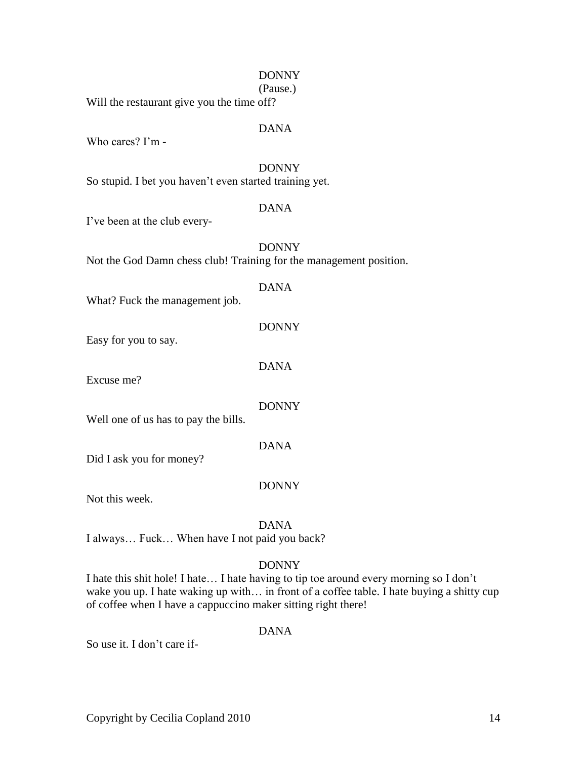# DONNY So stupid. I bet you haven't even started training yet. DANA DONNY DANA What? Fuck the management job. DONNY Easy for you to say. DANA Excuse me? DONNY Well one of us has to pay the bills. DANA Did I ask you for money?

Not this week.

# DANA

DONNY

I always… Fuck… When have I not paid you back?

# DONNY

I hate this shit hole! I hate… I hate having to tip toe around every morning so I don't wake you up. I hate waking up with... in front of a coffee table. I hate buying a shitty cup of coffee when I have a cappuccino maker sitting right there!

Copyright by Cecilia Copland 2010 14

# DANA

So use it. I don't care if-

# (Pause.)

DONNY

Will the restaurant give you the time off?

# DANA

Who cares? I'm -

I've been at the club every-

Not the God Damn chess club! Training for the management position.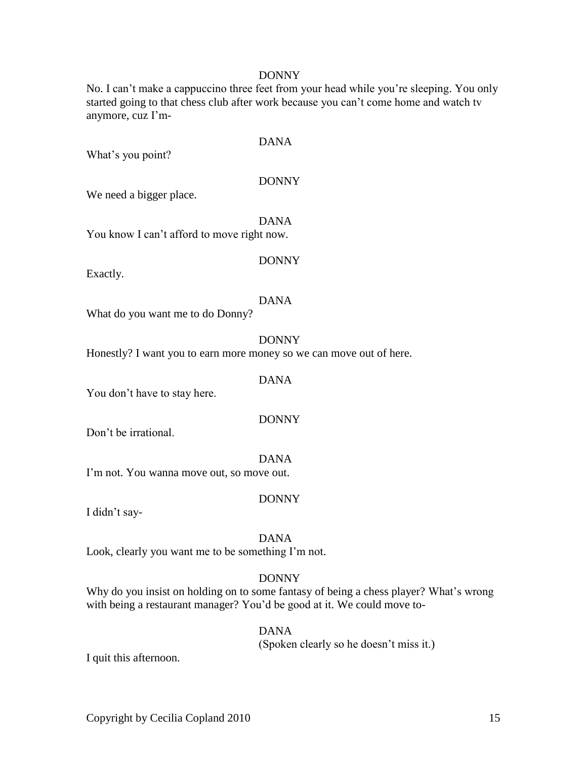### DONNY

No. I can't make a cappuccino three feet from your head while you're sleeping. You only started going to that chess club after work because you can't come home and watch tv anymore, cuz I'm-

What's you point?

### DONNY

DANA

We need a bigger place.

DANA You know I can't afford to move right now.

### DONNY

Exactly.

### DANA

What do you want me to do Donny?

### DONNY

Honestly? I want you to earn more money so we can move out of here.

### DANA

You don't have to stay here.

### DONNY

Don't be irrational.

### DANA

I'm not. You wanna move out, so move out.

### DONNY

I didn't say-

### DANA

Look, clearly you want me to be something I'm not.

### DONNY

Why do you insist on holding on to some fantasy of being a chess player? What's wrong with being a restaurant manager? You'd be good at it. We could move to-

### DANA

(Spoken clearly so he doesn't miss it.)

I quit this afternoon.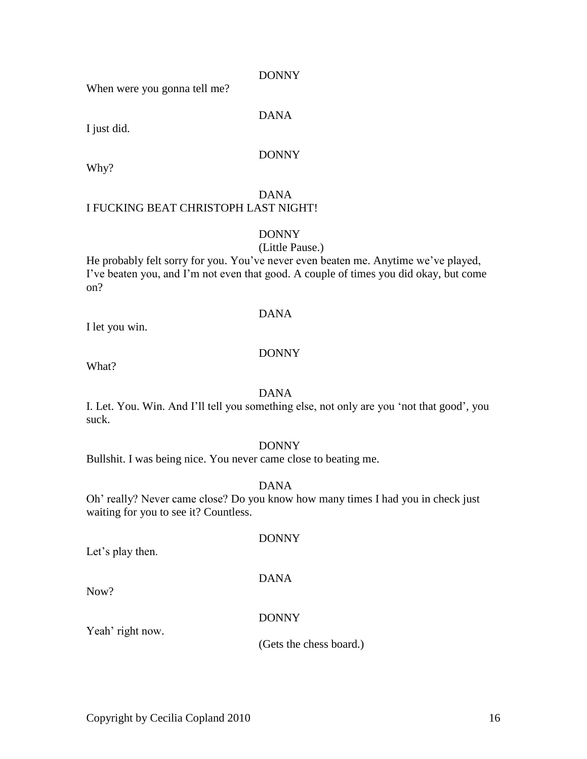DONNY

When were you gonna tell me?

DANA

I just did.

### DONNY

Why?

# DANA I FUCKING BEAT CHRISTOPH LAST NIGHT!

# DONNY

(Little Pause.)

He probably felt sorry for you. You've never even beaten me. Anytime we've played, I've beaten you, and I'm not even that good. A couple of times you did okay, but come on?

### DANA

I let you win.

### DONNY

What?

### DANA

I. Let. You. Win. And I'll tell you something else, not only are you 'not that good', you suck.

### DONNY

Bullshit. I was being nice. You never came close to beating me.

# DANA

Oh' really? Never came close? Do you know how many times I had you in check just waiting for you to see it? Countless.

DONNY

Let's play then.

# DANA

Now?

# DONNY

Yeah' right now.

(Gets the chess board.)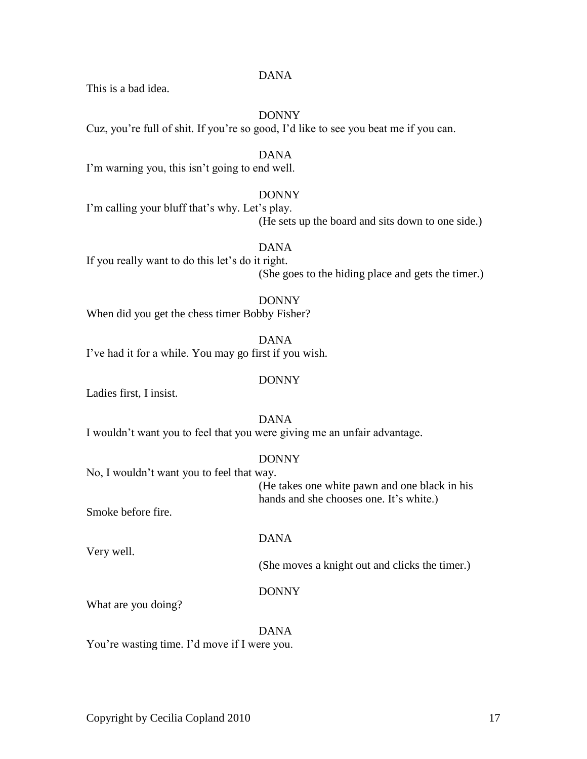Copyright by Cecilia Copland 2010 17

### DANA

This is a bad idea.

# DONNY

Cuz, you're full of shit. If you're so good, I'd like to see you beat me if you can.

DANA I'm warning you, this isn't going to end well.

# DONNY

I'm calling your bluff that's why. Let's play. (He sets up the board and sits down to one side.)

DANA

If you really want to do this let's do it right. (She goes to the hiding place and gets the timer.)

### DONNY When did you get the chess timer Bobby Fisher?

DANA I've had it for a while. You may go first if you wish.

# DONNY

Ladies first, I insist.

DANA I wouldn't want you to feel that you were giving me an unfair advantage.

# DONNY

No, I wouldn't want you to feel that way.

(He takes one white pawn and one black in his hands and she chooses one. It's white.)

Smoke before fire.

Very well.

# DANA

(She moves a knight out and clicks the timer.)

# DONNY

What are you doing?

# DANA

You're wasting time. I'd move if I were you.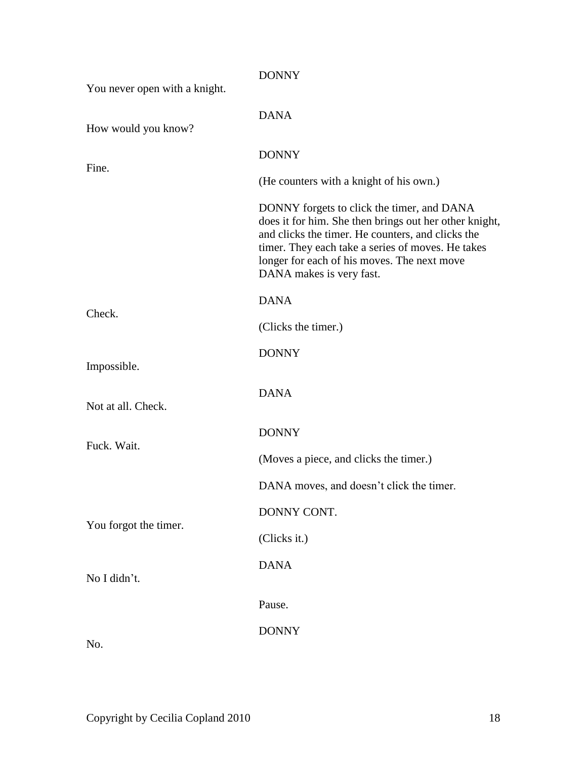| You never open with a knight. | <b>DONNY</b>                                                                                                                                                                                                                                                                              |
|-------------------------------|-------------------------------------------------------------------------------------------------------------------------------------------------------------------------------------------------------------------------------------------------------------------------------------------|
| How would you know?           | <b>DANA</b>                                                                                                                                                                                                                                                                               |
|                               | <b>DONNY</b>                                                                                                                                                                                                                                                                              |
| Fine.                         | (He counters with a knight of his own.)                                                                                                                                                                                                                                                   |
|                               | DONNY forgets to click the timer, and DANA<br>does it for him. She then brings out her other knight,<br>and clicks the timer. He counters, and clicks the<br>timer. They each take a series of moves. He takes<br>longer for each of his moves. The next move<br>DANA makes is very fast. |
| Check.                        | <b>DANA</b>                                                                                                                                                                                                                                                                               |
|                               | (Clicks the timer.)                                                                                                                                                                                                                                                                       |
| Impossible.                   | <b>DONNY</b>                                                                                                                                                                                                                                                                              |
| Not at all. Check.            | <b>DANA</b>                                                                                                                                                                                                                                                                               |
| Fuck. Wait.                   | <b>DONNY</b>                                                                                                                                                                                                                                                                              |
|                               | (Moves a piece, and clicks the timer.)                                                                                                                                                                                                                                                    |
|                               | DANA moves, and doesn't click the timer.                                                                                                                                                                                                                                                  |
| You forgot the timer.         | DONNY CONT.                                                                                                                                                                                                                                                                               |
|                               | (Clicks it.)                                                                                                                                                                                                                                                                              |
| No I didn't.                  | <b>DANA</b>                                                                                                                                                                                                                                                                               |
|                               | Pause.                                                                                                                                                                                                                                                                                    |
| No.                           | <b>DONNY</b>                                                                                                                                                                                                                                                                              |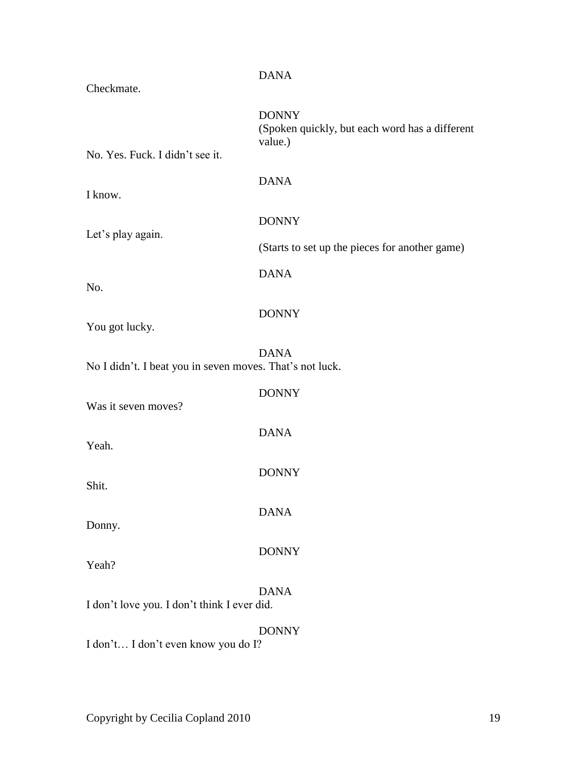|                                                          | <b>DANA</b>                                                               |
|----------------------------------------------------------|---------------------------------------------------------------------------|
| Checkmate.                                               |                                                                           |
| No. Yes. Fuck. I didn't see it.                          | <b>DONNY</b><br>(Spoken quickly, but each word has a different<br>value.) |
|                                                          |                                                                           |
| I know.                                                  | <b>DANA</b>                                                               |
| Let's play again.                                        | <b>DONNY</b>                                                              |
|                                                          | (Starts to set up the pieces for another game)                            |
| No.                                                      | <b>DANA</b>                                                               |
| You got lucky.                                           | <b>DONNY</b>                                                              |
| No I didn't. I beat you in seven moves. That's not luck. | <b>DANA</b>                                                               |
| Was it seven moves?                                      | <b>DONNY</b>                                                              |
| Yeah.                                                    | <b>DANA</b>                                                               |
| Shit.                                                    | <b>DONNY</b>                                                              |
| Donny.                                                   | <b>DANA</b>                                                               |
| Yeah?                                                    | <b>DONNY</b>                                                              |
| I don't love you. I don't think I ever did.              | <b>DANA</b>                                                               |
|                                                          | <b>DONNY</b>                                                              |
| I don't I don't even know you do I?                      |                                                                           |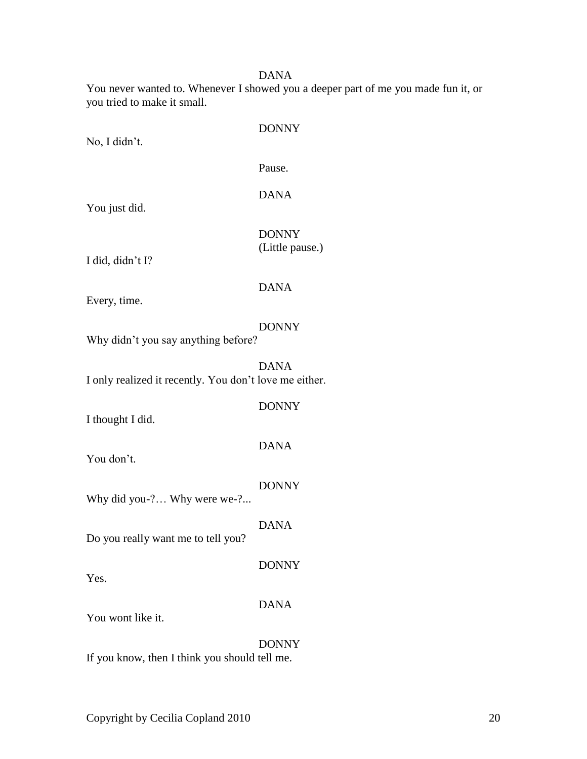You never wanted to. Whenever I showed you a deeper part of me you made fun it, or you tried to make it small.

No, I didn't.

DONNY

Pause.

DANA

You just did.

DONNY (Little pause.)

I did, didn't I?

### DANA

Every, time.

### DONNY

Why didn't you say anything before?

DANA I only realized it recently. You don't love me either.

DONNY

I thought I did.

DANA

You don't.

DONNY

Why did you-?... Why were we-?...

DANA

DONNY

Do you really want me to tell you?

Yes.

DANA

You wont like it.

DONNY If you know, then I think you should tell me.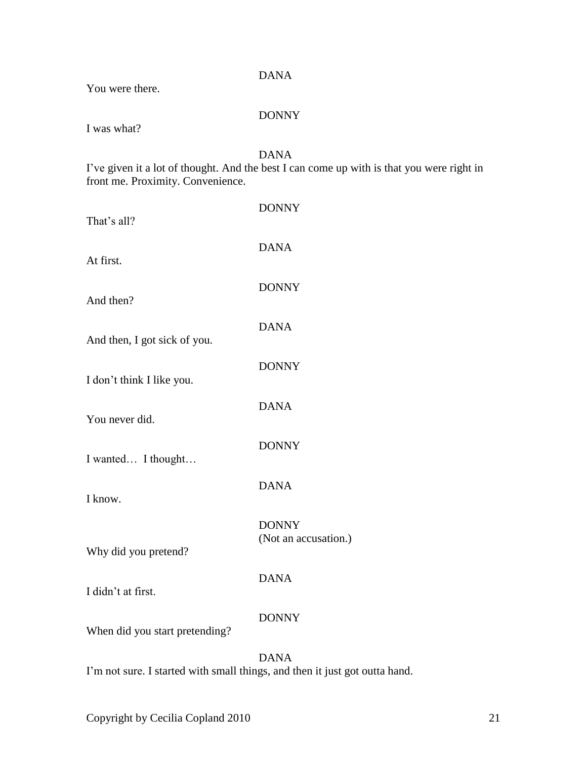| You were there.                                                             | <b>DANA</b>                                                                                              |
|-----------------------------------------------------------------------------|----------------------------------------------------------------------------------------------------------|
| I was what?                                                                 | <b>DONNY</b>                                                                                             |
| front me. Proximity. Convenience.                                           | <b>DANA</b><br>I've given it a lot of thought. And the best I can come up with is that you were right in |
| That's all?                                                                 | <b>DONNY</b>                                                                                             |
| At first.                                                                   | <b>DANA</b>                                                                                              |
| And then?                                                                   | <b>DONNY</b>                                                                                             |
| And then, I got sick of you.                                                | <b>DANA</b>                                                                                              |
| I don't think I like you.                                                   | <b>DONNY</b>                                                                                             |
| You never did.                                                              | <b>DANA</b>                                                                                              |
| I wanted I thought                                                          | <b>DONNY</b>                                                                                             |
| I know.                                                                     | <b>DANA</b>                                                                                              |
| Why did you pretend?                                                        | <b>DONNY</b><br>(Not an accusation.)                                                                     |
| I didn't at first.                                                          | <b>DANA</b>                                                                                              |
| When did you start pretending?                                              | <b>DONNY</b>                                                                                             |
| I'm not sure. I started with small things, and then it just got outta hand. | <b>DANA</b>                                                                                              |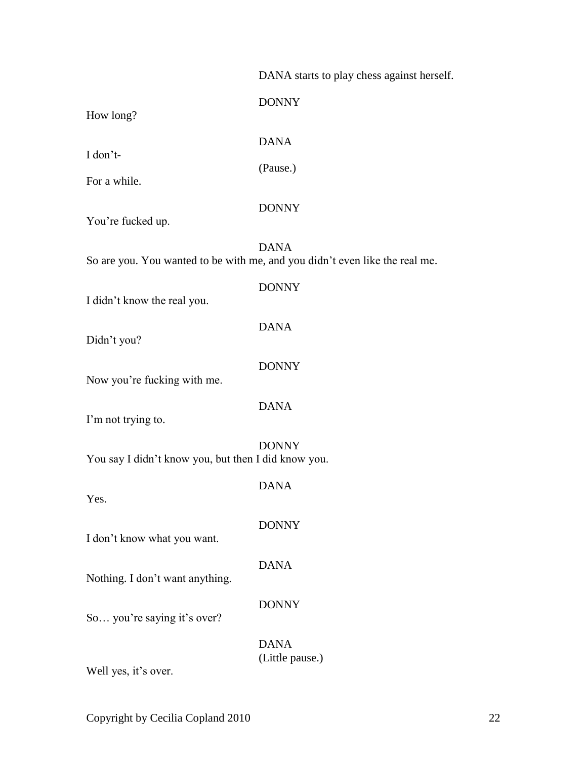DANA starts to play chess against herself.

| How long?                                           | <b>DONNY</b>                                                                               |
|-----------------------------------------------------|--------------------------------------------------------------------------------------------|
| I don't-                                            | <b>DANA</b>                                                                                |
| For a while.                                        | (Pause.)                                                                                   |
| You're fucked up.                                   | <b>DONNY</b>                                                                               |
|                                                     | <b>DANA</b><br>So are you. You wanted to be with me, and you didn't even like the real me. |
| I didn't know the real you.                         | <b>DONNY</b>                                                                               |
| Didn't you?                                         | <b>DANA</b>                                                                                |
| Now you're fucking with me.                         | <b>DONNY</b>                                                                               |
| I'm not trying to.                                  | <b>DANA</b>                                                                                |
| You say I didn't know you, but then I did know you. | <b>DONNY</b>                                                                               |
| Yes.                                                | <b>DANA</b>                                                                                |
| I don't know what you want.                         | <b>DONNY</b>                                                                               |
| Nothing. I don't want anything.                     | <b>DANA</b>                                                                                |
| So you're saying it's over?                         | <b>DONNY</b>                                                                               |
| Well yes, it's over.                                | <b>DANA</b><br>(Little pause.)                                                             |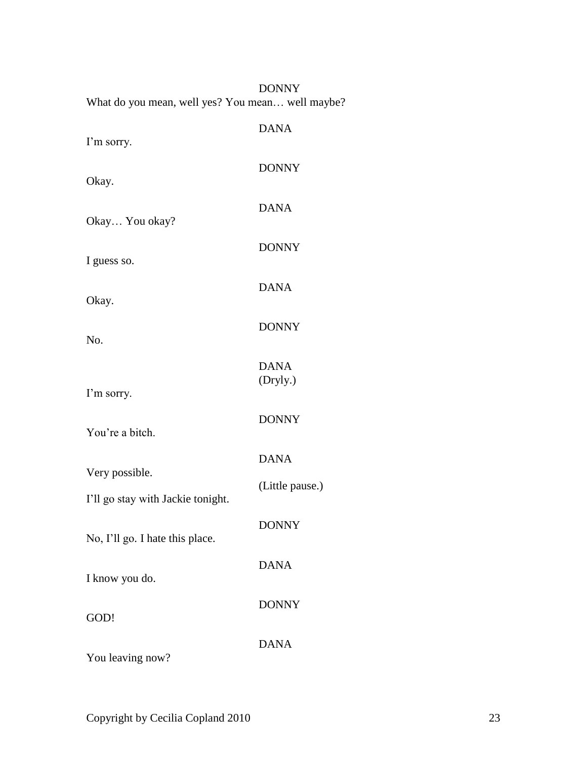| What do you mean, well yes? You mean well maybe?    | <b>DONNY</b>            |
|-----------------------------------------------------|-------------------------|
| I'm sorry.                                          | <b>DANA</b>             |
| Okay.                                               | <b>DONNY</b>            |
| Okay You okay?                                      | <b>DANA</b>             |
|                                                     | <b>DONNY</b>            |
| I guess so.                                         | <b>DANA</b>             |
| Okay.                                               | <b>DONNY</b>            |
| No.                                                 |                         |
| I'm sorry.                                          | <b>DANA</b><br>(Dryly.) |
| You're a bitch.                                     | <b>DONNY</b>            |
|                                                     | <b>DANA</b>             |
| Very possible.<br>I'll go stay with Jackie tonight. | (Little pause.)         |
| No, I'll go. I hate this place.                     | <b>DONNY</b>            |
| I know you do.                                      | <b>DANA</b>             |
|                                                     | <b>DONNY</b>            |
| GOD!                                                | <b>DANA</b>             |
| You leaving now?                                    |                         |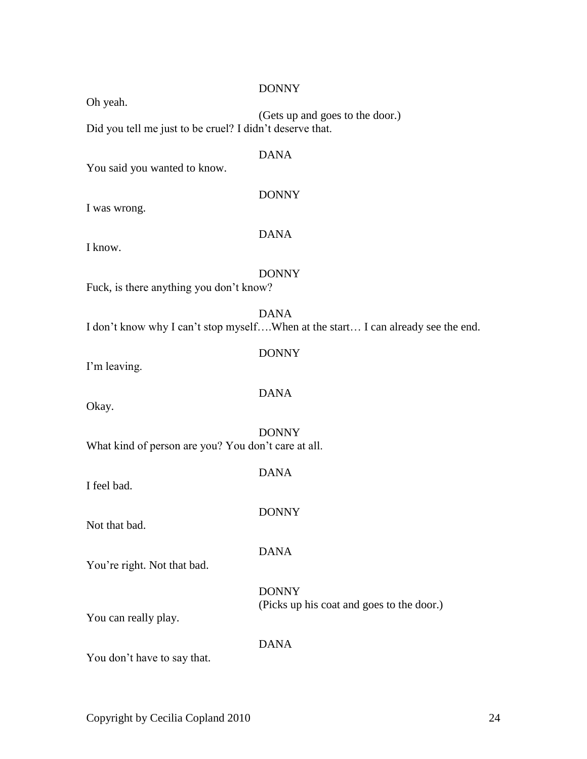| Oh yeah.                                                 | <b>DONNY</b>                                                                                    |
|----------------------------------------------------------|-------------------------------------------------------------------------------------------------|
| Did you tell me just to be cruel? I didn't deserve that. | (Gets up and goes to the door.)                                                                 |
| You said you wanted to know.                             | <b>DANA</b>                                                                                     |
| I was wrong.                                             | <b>DONNY</b>                                                                                    |
| I know.                                                  | <b>DANA</b>                                                                                     |
| Fuck, is there anything you don't know?                  | <b>DONNY</b>                                                                                    |
|                                                          | <b>DANA</b><br>I don't know why I can't stop myselfWhen at the start I can already see the end. |
| I'm leaving.                                             | <b>DONNY</b>                                                                                    |
| Okay.                                                    | <b>DANA</b>                                                                                     |
| What kind of person are you? You don't care at all.      | <b>DONNY</b>                                                                                    |
| I feel bad.                                              | <b>DANA</b>                                                                                     |
| Not that bad.                                            | <b>DONNY</b>                                                                                    |
| You're right. Not that bad.                              | <b>DANA</b>                                                                                     |
| You can really play.                                     | <b>DONNY</b><br>(Picks up his coat and goes to the door.)                                       |
| You don't have to say that.                              | <b>DANA</b>                                                                                     |